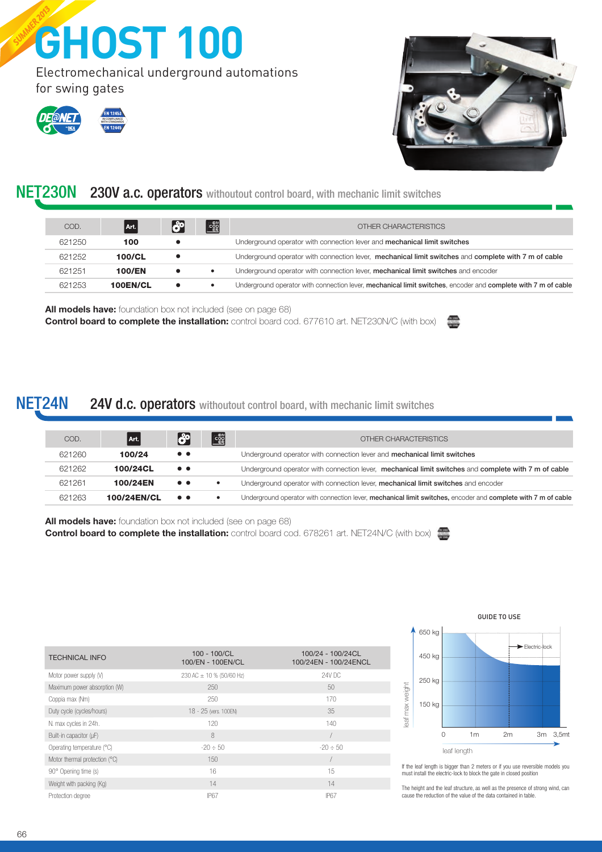# SUMMER 2013 **GHOST 100**

Electromechanical underground automations for swing gates







## NET230N 230V a.c. operators withoutout control board, with mechanic limit switches

| COD.   | Art.          | <b>Leo</b> | ER | OTHER CHARACTERISTICS                                                                                         |
|--------|---------------|------------|----|---------------------------------------------------------------------------------------------------------------|
| 621250 | 100           |            |    | Underground operator with connection lever and <b>mechanical limit switches</b>                               |
| 621252 | 100/CL        |            |    | Underground operator with connection lever, mechanical limit switches and complete with 7 m of cable          |
| 621251 | <b>100/EN</b> |            |    | Underground operator with connection lever, mechanical limit switches and encoder                             |
| 621253 | 100EN/CL      |            |    | Underground operator with connection lever, mechanical limit switches, encoder and complete with 7 m of cable |
|        |               |            |    |                                                                                                               |

All models have: foundation box not included (see on page 68) Control board to complete the installation: control board cod. 677610 art. NET230N/C (with box)

#### NET24N 24V d.c. operators withoutout control board, with mechanic limit switches

| COD.   | Art.        | <b>189</b>       | E         | OTHER CHARACTERISTICS                                                                                         |
|--------|-------------|------------------|-----------|---------------------------------------------------------------------------------------------------------------|
| 621260 | 100/24      | $\bullet\bullet$ |           | Underground operator with connection lever and <b>mechanical limit switches</b>                               |
| 621262 | 100/24CL    | $\bullet\bullet$ |           | Underground operator with connection lever, mechanical limit switches and complete with 7 m of cable          |
| 621261 | 100/24EN    | $\bullet\bullet$ | $\bullet$ | Underground operator with connection lever, mechanical limit switches and encoder                             |
| 621263 | 100/24EN/CL | $\bullet\bullet$ |           | Underground operator with connection lever, mechanical limit switches, encoder and complete with 7 m of cable |

All models have: foundation box not included (see on page 68) Control board to complete the installation: control board cod. 678261 art. NET24N/C (with box)

| <b>TECHNICAL INFO</b>         | $100 - 100/CL$<br>100/EN - 100EN/CL | 100/24 - 100/24CL<br>100/24EN - 100/24ENCL |
|-------------------------------|-------------------------------------|--------------------------------------------|
| Motor power supply (V)        | 230 AC $\pm$ 10 % (50/60 Hz)        | 24V DC                                     |
| Maximum power absorption (W)  | 250                                 | 50                                         |
| Coppia max (Nm)               | 250                                 | 170                                        |
| Duty cycle (cycles/hours)     | 18 - 25 (vers. 100EN)               | 35                                         |
| N. max cycles in 24h.         | 120                                 | 140                                        |
| Built-in capacitor (µF)       | 8                                   |                                            |
| Operating temperature (°C)    | $-20 \div 50$                       | $-20 \div 50$                              |
| Motor thermal protection (°C) | 150                                 |                                            |
| 90° Opening time (s)          | 16                                  | 15                                         |
| Weight with packing (Kg)      | 14                                  | 14                                         |
| Protection degree             | <b>IP67</b>                         | <b>IP67</b>                                |



If the leaf length is bigger than 2 meters or if you use reversible models you must install the electric-lock to block the gate in closed position

The height and the leaf structure, as well as the presence of strong wind, can cause the reduction of the value of the data contained in table.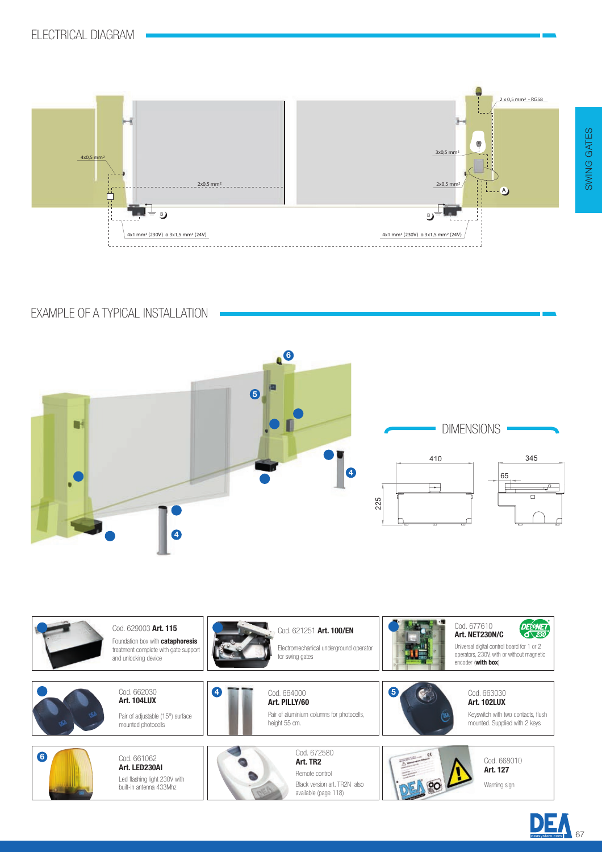

EXAMPLE OF A TYPICAL INSTALLATION





 $\begin{array}{|c|c|c|}\n\hline\n\textbf{D} & \textbf{E} & \textbf{A} \\
\hline\n\textbf{deaxystem.com} & \textbf{67}\n\end{array}$